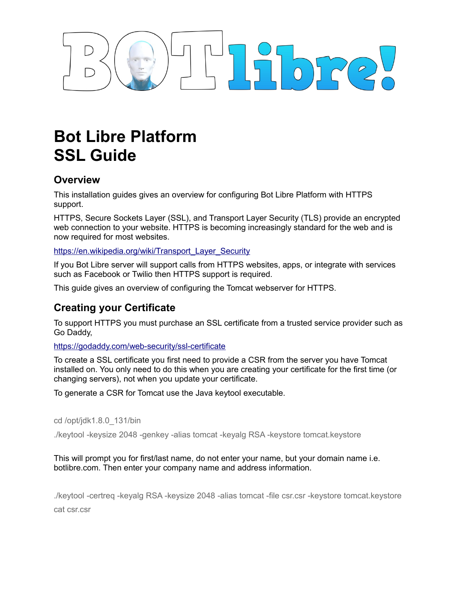

# **Bot Libre Platform SSL Guide**

### **Overview**

This installation guides gives an overview for configuring Bot Libre Platform with HTTPS support.

HTTPS, Secure Sockets Layer (SSL), and Transport Layer Security (TLS) provide an encrypted web connection to your website. HTTPS is becoming increasingly standard for the web and is now required for most websites.

[https://en.wikipedia.org/wiki/Transport\\_Layer\\_Security](https://en.wikipedia.org/wiki/Transport_Layer_Security)

If you Bot Libre server will support calls from HTTPS websites, apps, or integrate with services such as Facebook or Twilio then HTTPS support is required.

This guide gives an overview of configuring the Tomcat webserver for HTTPS.

### **Creating your Certificate**

To support HTTPS you must purchase an SSL certificate from a trusted service provider such as Go Daddy,

<https://godaddy.com/web-security/ssl-certificate>

To create a SSL certificate you first need to provide a CSR from the server you have Tomcat installed on. You only need to do this when you are creating your certificate for the first time (or changing servers), not when you update your certificate.

To generate a CSR for Tomcat use the Java keytool executable.

cd /opt/jdk1.8.0\_131/bin

./keytool -keysize 2048 -genkey -alias tomcat -keyalg RSA -keystore tomcat.keystore

### This will prompt you for first/last name, do not enter your name, but your domain name i.e. botlibre.com. Then enter your company name and address information.

./keytool -certreq -keyalg RSA -keysize 2048 -alias tomcat -file csr.csr -keystore tomcat.keystore cat csr.csr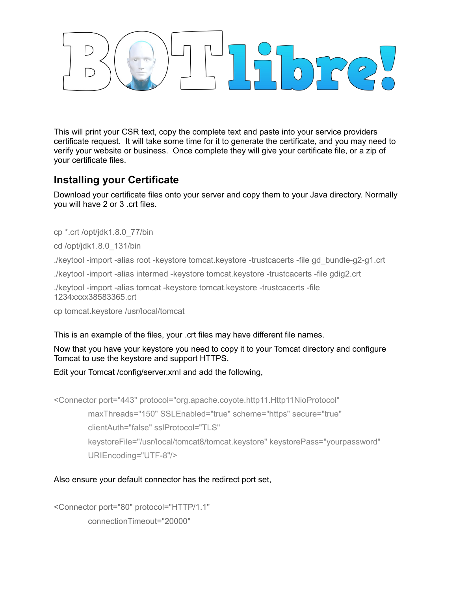# $\sqrt{10}$

This will print your CSR text, copy the complete text and paste into your service providers certificate request. It will take some time for it to generate the certificate, and you may need to verify your website or business. Once complete they will give your certificate file, or a zip of your certificate files.

## **Installing your Certificate**

Download your certificate files onto your server and copy them to your Java directory. Normally you will have 2 or 3 .crt files.

cp \*.crt /opt/jdk1.8.0\_77/bin

cd /opt/jdk1.8.0\_131/bin

./keytool -import -alias root -keystore tomcat.keystore -trustcacerts -file gd\_bundle-g2-g1.crt

./keytool -import -alias intermed -keystore tomcat.keystore -trustcacerts -file gdig2.crt

./keytool -import -alias tomcat -keystore tomcat.keystore -trustcacerts -file 1234xxxx38583365.crt

cp tomcat.keystore /usr/local/tomcat

This is an example of the files, your .crt files may have different file names.

Now that you have your keystore you need to copy it to your Tomcat directory and configure Tomcat to use the keystore and support HTTPS.

Edit your Tomcat /config/server.xml and add the following,

<Connector port="443" protocol="org.apache.coyote.http11.Http11NioProtocol"

maxThreads="150" SSLEnabled="true" scheme="https" secure="true"

clientAuth="false" sslProtocol="TLS"

 keystoreFile="/usr/local/tomcat8/tomcat.keystore" keystorePass="yourpassword" URIEncoding="UTF-8"/>

### Also ensure your default connector has the redirect port set,

<Connector port="80" protocol="HTTP/1.1" connectionTimeout="20000"